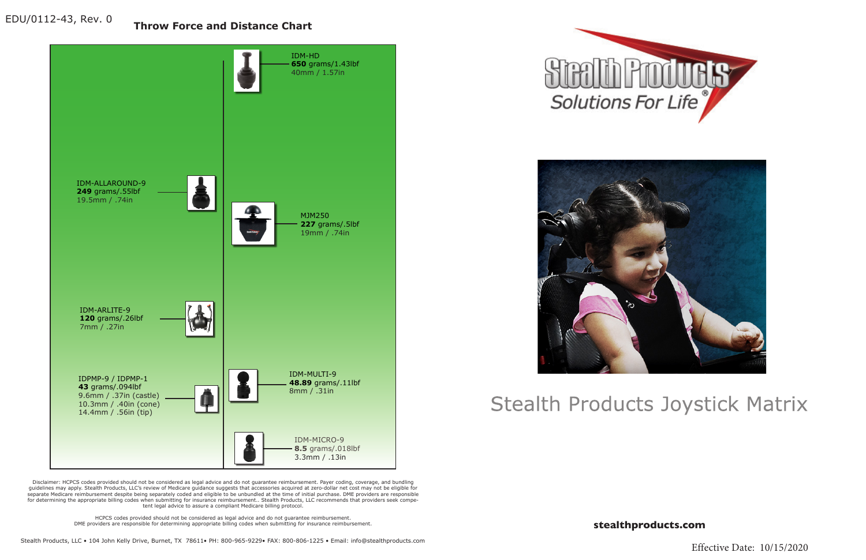**stealthproducts.com**







## **Stealth Products Joystick Matrix**

**Throw Force and Distance Chart**

Disclaimer: HCPCS codes provided should not be considered as legal advice and do not guarantee reimbursement. Payer coding, coverage, and bundling guidelines may apply. Stealth Products, LLC's review of Medicare guidance suggests that accessories acquired at zero-dollar net cost may not be eligible for separate Medicare reimbursement despite being separately coded and eligible to be unbundled at the time of initial purchase. DME providers are responsible for determining the appropriate billing codes when submitting for insurance reimbursement.. Stealth Products, LLC recommends that providers seek competent legal advice to assure a compliant Medicare billing protocol.

> HCPCS codes provided should not be considered as legal advice and do not guarantee reimbursement. DME providers are responsible for determining appropriate billing codes when submitting for insurance reimbursement.

EDU/0112-43, Rev. 0

Effective Date: 10/15/2020